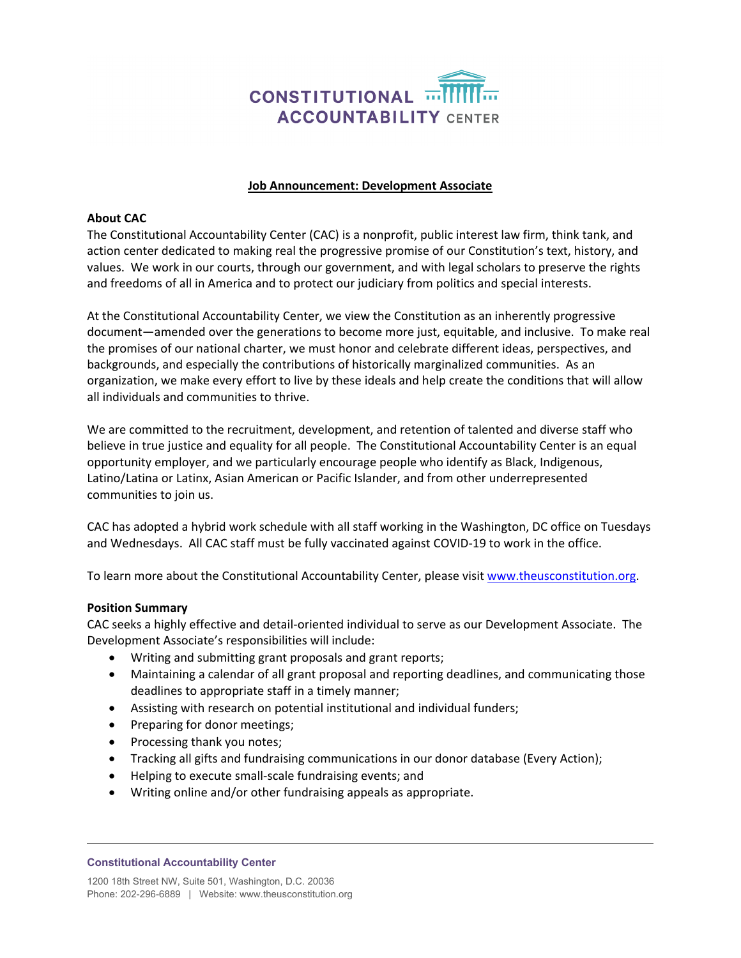

## **Job Announcement: Development Associate**

# **About CAC**

The Constitutional Accountability Center (CAC) is a nonprofit, public interest law firm, think tank, and action center dedicated to making real the progressive promise of our Constitution's text, history, and values. We work in our courts, through our government, and with legal scholars to preserve the rights and freedoms of all in America and to protect our judiciary from politics and special interests.

At the Constitutional Accountability Center, we view the Constitution as an inherently progressive document—amended over the generations to become more just, equitable, and inclusive. To make real the promises of our national charter, we must honor and celebrate different ideas, perspectives, and backgrounds, and especially the contributions of historically marginalized communities. As an organization, we make every effort to live by these ideals and help create the conditions that will allow all individuals and communities to thrive.

We are committed to the recruitment, development, and retention of talented and diverse staff who believe in true justice and equality for all people. The Constitutional Accountability Center is an equal opportunity employer, and we particularly encourage people who identify as Black, Indigenous, Latino/Latina or Latinx, Asian American or Pacific Islander, and from other underrepresented communities to join us.

CAC has adopted a hybrid work schedule with all staff working in the Washington, DC office on Tuesdays and Wednesdays. All CAC staff must be fully vaccinated against COVID-19 to work in the office.

To learn more about the Constitutional Accountability Center, please visi[t www.theusconstitution.org.](http://www.theusconstitution.org/)

#### **Position Summary**

CAC seeks a highly effective and detail-oriented individual to serve as our Development Associate. The Development Associate's responsibilities will include:

- Writing and submitting grant proposals and grant reports;
- Maintaining a calendar of all grant proposal and reporting deadlines, and communicating those deadlines to appropriate staff in a timely manner;
- Assisting with research on potential institutional and individual funders;
- Preparing for donor meetings;
- Processing thank you notes;
- Tracking all gifts and fundraising communications in our donor database (Every Action);
- Helping to execute small-scale fundraising events; and
- Writing online and/or other fundraising appeals as appropriate.

#### **Constitutional Accountability Center**